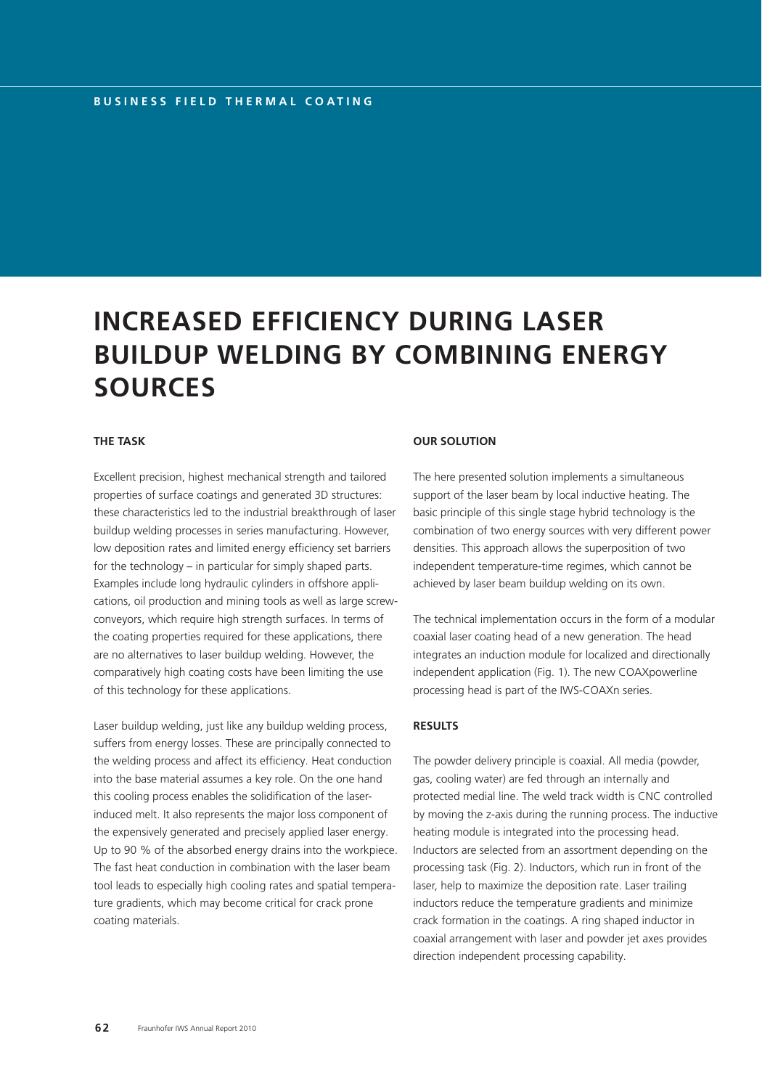# **INCREASED EFFICIENCY DURING LASER BUILDUP WELDING BY COMBINING ENERGY SOURCES**

## **THE TASK**

Excellent precision, highest mechanical strength and tailored properties of surface coatings and generated 3D structures: these characteristics led to the industrial breakthrough of laser buildup welding processes in series manufacturing. However, low deposition rates and limited energy efficiency set barriers for the technology – in particular for simply shaped parts. Examples include long hydraulic cylinders in offshore applications, oil production and mining tools as well as large screwconveyors, which require high strength surfaces. In terms of the coating properties required for these applications, there are no alternatives to laser buildup welding. However, the comparatively high coating costs have been limiting the use of this technology for these applications.

Laser buildup welding, just like any buildup welding process, suffers from energy losses. These are principally connected to the welding process and affect its efficiency. Heat conduction into the base material assumes a key role. On the one hand this cooling process enables the solidification of the laserinduced melt. It also represents the major loss component of the expensively generated and precisely applied laser energy. Up to 90 % of the absorbed energy drains into the workpiece. The fast heat conduction in combination with the laser beam tool leads to especially high cooling rates and spatial temperature gradients, which may become critical for crack prone coating materials.

#### **OUR SOLUTION**

The here presented solution implements a simultaneous support of the laser beam by local inductive heating. The basic principle of this single stage hybrid technology is the combination of two energy sources with very different power densities. This approach allows the superposition of two independent temperature-time regimes, which cannot be achieved by laser beam buildup welding on its own.

The technical implementation occurs in the form of a modular coaxial laser coating head of a new generation. The head integrates an induction module for localized and directionally independent application (Fig. 1). The new COAXpowerline processing head is part of the IWS-COAXn series.

### **RESULTS**

The powder delivery principle is coaxial. All media (powder, gas, cooling water) are fed through an internally and protected medial line. The weld track width is CNC controlled by moving the z-axis during the running process. The inductive heating module is integrated into the processing head. Inductors are selected from an assortment depending on the processing task (Fig. 2). Inductors, which run in front of the laser, help to maximize the deposition rate. Laser trailing inductors reduce the temperature gradients and minimize crack formation in the coatings. A ring shaped inductor in coaxial arrangement with laser and powder jet axes provides direction independent processing capability.